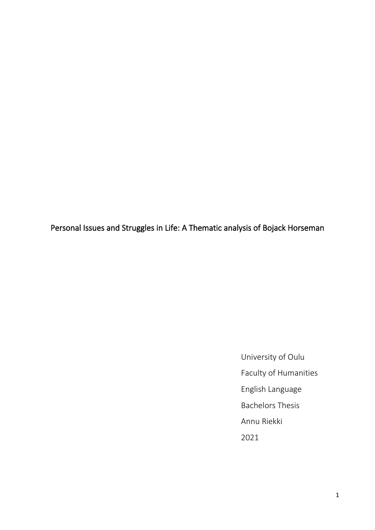Personal Issues and Struggles in Life: A Thematic analysis of Bojack Horseman

University of Oulu Faculty of Humanities English Language Bachelors Thesis Annu Riekki 2021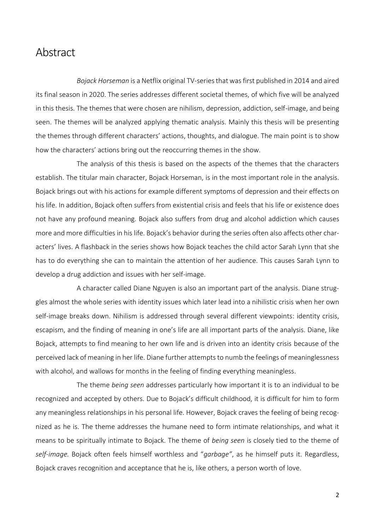# Abstract

*Bojack Horseman* is a Netflix original TV-series that was first published in 2014 and aired its final season in 2020. The series addresses different societal themes, of which five will be analyzed in this thesis. The themes that were chosen are nihilism, depression, addiction, self-image, and being seen. The themes will be analyzed applying thematic analysis. Mainly this thesis will be presenting the themes through different characters' actions, thoughts, and dialogue. The main point is to show how the characters' actions bring out the reoccurring themes in the show.

The analysis of this thesis is based on the aspects of the themes that the characters establish. The titular main character, Bojack Horseman, is in the most important role in the analysis. Bojack brings out with his actions for example different symptoms of depression and their effects on his life. In addition, Bojack often suffers from existential crisis and feels that his life or existence does not have any profound meaning. Bojack also suffers from drug and alcohol addiction which causes more and more difficulties in his life. Bojack's behavior during the series often also affects other characters' lives. A flashback in the series shows how Bojack teaches the child actor Sarah Lynn that she has to do everything she can to maintain the attention of her audience. This causes Sarah Lynn to develop a drug addiction and issues with her self-image.

A character called Diane Nguyen is also an important part of the analysis. Diane struggles almost the whole series with identity issues which later lead into a nihilistic crisis when her own self-image breaks down. Nihilism is addressed through several different viewpoints: identity crisis, escapism, and the finding of meaning in one's life are all important parts of the analysis. Diane, like Bojack, attempts to find meaning to her own life and is driven into an identity crisis because of the perceived lack of meaning in her life. Diane further attempts to numb the feelings of meaninglessness with alcohol, and wallows for months in the feeling of finding everything meaningless.

The theme *being seen* addresses particularly how important it is to an individual to be recognized and accepted by others. Due to Bojack's difficult childhood, it is difficult for him to form any meaningless relationships in his personal life. However, Bojack craves the feeling of being recognized as he is. The theme addresses the humane need to form intimate relationships, and what it means to be spiritually intimate to Bojack. The theme of *being seen* is closely tied to the theme of *self-image.* Bojack often feels himself worthless and "*garbage"*, as he himself puts it. Regardless, Bojack craves recognition and acceptance that he is, like others, a person worth of love.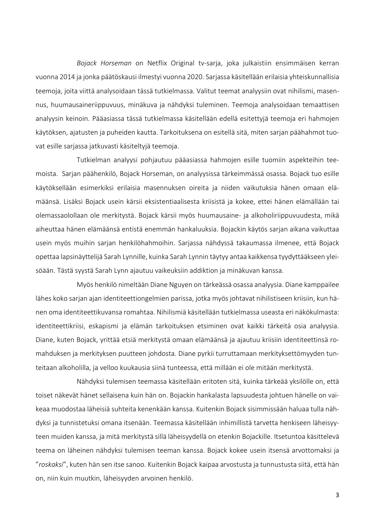*Bojack Horseman* on Netflix Original tv-sarja, joka julkaistiin ensimmäisen kerran vuonna 2014 ja jonka päätöskausi ilmestyi vuonna 2020. Sarjassa käsitellään erilaisia yhteiskunnallisia teemoja, joita viittä analysoidaan tässä tutkielmassa. Valitut teemat analyysiin ovat nihilismi, masennus, huumausaineriippuvuus, minäkuva ja nähdyksi tuleminen. Teemoja analysoidaan temaattisen analyysin keinoin. Pääasiassa tässä tutkielmassa käsitellään edellä esitettyjä teemoja eri hahmojen käytöksen, ajatusten ja puheiden kautta. Tarkoituksena on esitellä sitä, miten sarjan päähahmot tuovat esille sarjassa jatkuvasti käsiteltyjä teemoja.

Tutkielman analyysi pohjautuu pääasiassa hahmojen esille tuomiin aspekteihin teemoista. Sarjan päähenkilö, Bojack Horseman, on analyysissa tärkeimmässä osassa. Bojack tuo esille käytöksellään esimerkiksi erilaisia masennuksen oireita ja niiden vaikutuksia hänen omaan elämäänsä. Lisäksi Bojack usein kärsii eksistentiaalisesta kriisistä ja kokee, ettei hänen elämällään tai olemassaolollaan ole merkitystä. Bojack kärsii myös huumausaine- ja alkoholiriippuvuudesta, mikä aiheuttaa hänen elämäänsä entistä enemmän hankaluuksia. Bojackin käytös sarjan aikana vaikuttaa usein myös muihin sarjan henkilöhahmoihin. Sarjassa nähdyssä takaumassa ilmenee, että Bojack opettaa lapsinäyttelijä Sarah Lynnille, kuinka Sarah Lynnin täytyy antaa kaikkensa tyydyttääkseen yleisöään. Tästä syystä Sarah Lynn ajautuu vaikeuksiin addiktion ja minäkuvan kanssa.

Myös henkilö nimeltään Diane Nguyen on tärkeässä osassa analyysia. Diane kamppailee lähes koko sarjan ajan identiteettiongelmien parissa, jotka myös johtavat nihilistiseen kriisiin, kun hänen oma identiteettikuvansa romahtaa. Nihilismiä käsitellään tutkielmassa useasta eri näkökulmasta: identiteettikriisi, eskapismi ja elämän tarkoituksen etsiminen ovat kaikki tärkeitä osia analyysia. Diane, kuten Bojack, yrittää etsiä merkitystä omaan elämäänsä ja ajautuu kriisiin identiteettinsä romahduksen ja merkityksen puutteen johdosta. Diane pyrkii turruttamaan merkityksettömyyden tunteitaan alkoholilla, ja velloo kuukausia siinä tunteessa, että millään ei ole mitään merkitystä.

Nähdyksi tulemisen teemassa käsitellään eritoten sitä, kuinka tärkeää yksilölle on, että toiset näkevät hänet sellaisena kuin hän on. Bojackin hankalasta lapsuudesta johtuen hänelle on vaikeaa muodostaa läheisiä suhteita kenenkään kanssa. Kuitenkin Bojack sisimmissään haluaa tulla nähdyksi ja tunnistetuksi omana itsenään. Teemassa käsitellään inhimillistä tarvetta henkiseen läheisyyteen muiden kanssa, ja mitä merkitystä sillä läheisyydellä on etenkin Bojackille. Itsetuntoa käsittelevä teema on läheinen nähdyksi tulemisen teeman kanssa. Bojack kokee usein itsensä arvottomaksi ja "*roskaksi*", kuten hän sen itse sanoo. Kuitenkin Bojack kaipaa arvostusta ja tunnustusta siitä, että hän on, niin kuin muutkin, läheisyyden arvoinen henkilö.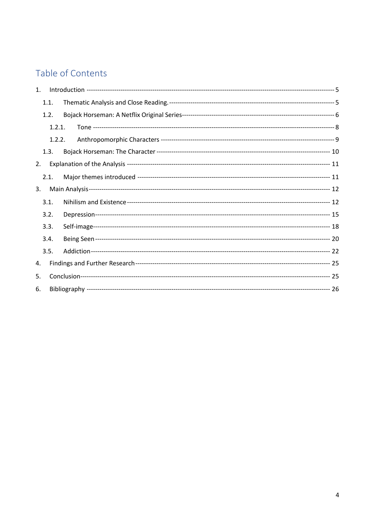# Table of Contents

| 1. |      |        |  |  |  |
|----|------|--------|--|--|--|
|    | 1.1. |        |  |  |  |
|    | 1.2. |        |  |  |  |
|    |      | 1.2.1. |  |  |  |
|    |      | 1.2.2. |  |  |  |
|    | 1.3. |        |  |  |  |
| 2. |      |        |  |  |  |
|    | 2.1. |        |  |  |  |
| 3. |      |        |  |  |  |
|    | 3.1. |        |  |  |  |
|    | 3.2. |        |  |  |  |
|    | 3.3. |        |  |  |  |
|    | 3.4. |        |  |  |  |
|    | 3.5. |        |  |  |  |
| 4. |      |        |  |  |  |
| 5. |      |        |  |  |  |
| 6. |      |        |  |  |  |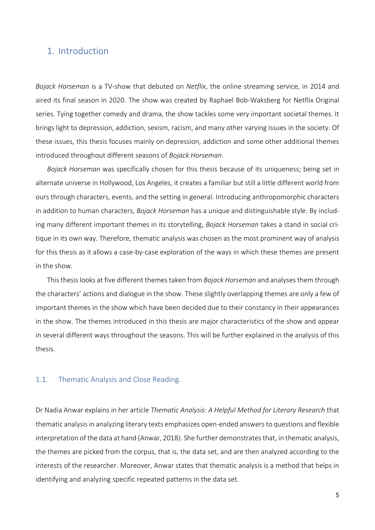## <span id="page-4-0"></span>1. Introduction

*Bojack Horseman* is a TV-show that debuted on *Netflix*, the online streaming service, in 2014 and aired its final season in 2020. The show was created by Raphael Bob-Waksberg for Netflix Original series. Tying together comedy and drama, the show tackles some very important societal themes. It brings light to depression, addiction, sexism, racism, and many other varying issues in the society. Of these issues, this thesis focuses mainly on depression, addiction and some other additional themes introduced throughout different seasons of *Bojack Horseman*.

*Bojack Horseman* was specifically chosen for this thesis because of its uniqueness; being set in alternate universe in Hollywood, Los Angeles, it creates a familiar but still a little different world from ours through characters, events, and the setting in general. Introducing anthropomorphic characters in addition to human characters, *Bojack Horseman* has a unique and distinguishable style. By including many different important themes in its storytelling, *Bojack Horseman* takes a stand in social critique in its own way. Therefore, thematic analysis was chosen as the most prominent way of analysis for this thesis as it allows a case-by-case exploration of the ways in which these themes are present in the show.

This thesis looks at five different themes taken from *Bojack Horseman* and analyses them through the characters' actions and dialogue in the show. These slightly overlapping themes are only a few of important themes in the show which have been decided due to their constancy in their appearances in the show. The themes introduced in this thesis are major characteristics of the show and appear in several different ways throughout the seasons. This will be further explained in the analysis of this thesis.

### <span id="page-4-1"></span>1.1. Thematic Analysis and Close Reading.

Dr Nadia Anwar explains in her article *Thematic Analysis: A Helpful Method for Literary Research* that thematic analysis in analyzing literary texts emphasizes open-ended answers to questions and flexible interpretation of the data at hand (Anwar, 2018). She further demonstrates that, in thematic analysis, the themes are picked from the corpus, that is, the data set, and are then analyzed according to the interests of the researcher. Moreover, Anwar states that thematic analysis is a method that helps in identifying and analyzing specific repeated patterns in the data set.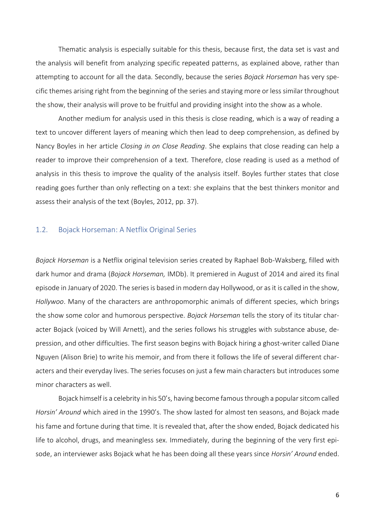Thematic analysis is especially suitable for this thesis, because first, the data set is vast and the analysis will benefit from analyzing specific repeated patterns, as explained above, rather than attempting to account for all the data. Secondly, because the series *Bojack Horseman* has very specific themes arising right from the beginning of the series and staying more or less similar throughout the show, their analysis will prove to be fruitful and providing insight into the show as a whole.

Another medium for analysis used in this thesis is close reading, which is a way of reading a text to uncover different layers of meaning which then lead to deep comprehension, as defined by Nancy Boyles in her article *Closing in on Close Reading*. She explains that close reading can help a reader to improve their comprehension of a text. Therefore, close reading is used as a method of analysis in this thesis to improve the quality of the analysis itself. Boyles further states that close reading goes further than only reflecting on a text: she explains that the best thinkers monitor and assess their analysis of the text (Boyles, 2012, pp. 37).

### <span id="page-5-0"></span>1.2. Bojack Horseman: A Netflix Original Series

*Bojack Horseman* is a Netflix original television series created by Raphael Bob-Waksberg, filled with dark humor and drama (*Bojack Horseman,* IMDb). It premiered in August of 2014 and aired its final episode in January of 2020. The series is based in modern day Hollywood, or as it is called in the show, *Hollywoo*. Many of the characters are anthropomorphic animals of different species, which brings the show some color and humorous perspective. *Bojack Horseman* tells the story of its titular character Bojack (voiced by Will Arnett), and the series follows his struggles with substance abuse, depression, and other difficulties. The first season begins with Bojack hiring a ghost-writer called Diane Nguyen (Alison Brie) to write his memoir, and from there it follows the life of several different characters and their everyday lives. The series focuses on just a few main characters but introduces some minor characters as well.

Bojack himself is a celebrity in his 50's, having become famous through a popular sitcom called *Horsin' Around* which aired in the 1990's. The show lasted for almost ten seasons, and Bojack made his fame and fortune during that time. It is revealed that, after the show ended, Bojack dedicated his life to alcohol, drugs, and meaningless sex. Immediately, during the beginning of the very first episode, an interviewer asks Bojack what he has been doing all these years since *Horsin' Around* ended.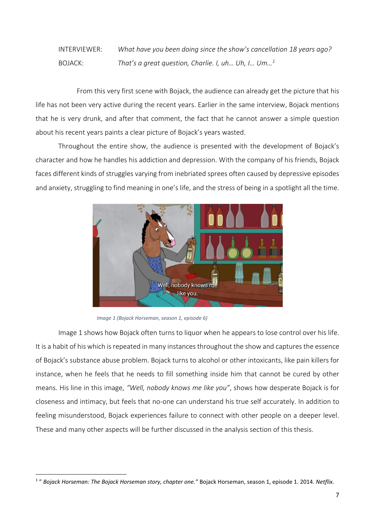INTERVIEWER: *What have you been doing since the show's cancellation 18 years ago?* BOJACK: *That's a great question, Charlie. I, uh… Uh, I… Um…<sup>1</sup>*

From this very first scene with Bojack, the audience can already get the picture that his life has not been very active during the recent years. Earlier in the same interview, Bojack mentions that he is very drunk, and after that comment, the fact that he cannot answer a simple question about his recent years paints a clear picture of Bojack's years wasted.

Throughout the entire show, the audience is presented with the development of Bojack's character and how he handles his addiction and depression. With the company of his friends, Bojack faces different kinds of struggles varying from inebriated sprees often caused by depressive episodes and anxiety, struggling to find meaning in one's life, and the stress of being in a spotlight all the time.



*Image 1 (Bojack Horseman, season 1, episode 6)*

Image 1 shows how Bojack often turns to liquor when he appears to lose control over his life. It is a habit of his which is repeated in many instances throughout the show and captures the essence of Bojack's substance abuse problem. Bojack turns to alcohol or other intoxicants, like pain killers for instance, when he feels that he needs to fill something inside him that cannot be cured by other means. His line in this image, *"Well, nobody knows me like you"*, shows how desperate Bojack is for closeness and intimacy, but feels that no-one can understand his true self accurately. In addition to feeling misunderstood, Bojack experiences failure to connect with other people on a deeper level. These and many other aspects will be further discussed in the analysis section of this thesis.

<sup>1</sup> " *Bojack Horseman: The Bojack Horseman story, chapter one."* Bojack Horseman, season 1, episode 1. 2014. *Netflix*.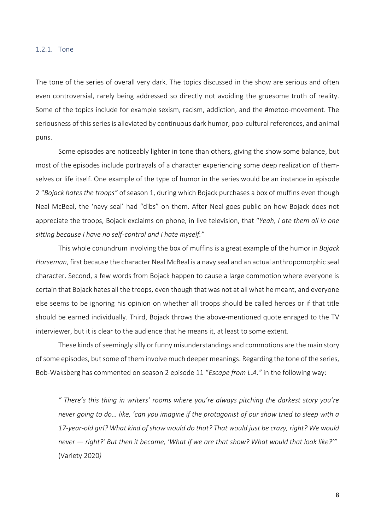#### <span id="page-7-0"></span>1.2.1. Tone

The tone of the series of overall very dark. The topics discussed in the show are serious and often even controversial, rarely being addressed so directly not avoiding the gruesome truth of reality. Some of the topics include for example sexism, racism, addiction, and the #metoo-movement. The seriousness of this series is alleviated by continuous dark humor, pop-cultural references, and animal puns.

Some episodes are noticeably lighter in tone than others, giving the show some balance, but most of the episodes include portrayals of a character experiencing some deep realization of themselves or life itself. One example of the type of humor in the series would be an instance in episode 2 "*Bojack hates the troops"* of season 1, during which Bojack purchases a box of muffins even though Neal McBeal, the 'navy seal' had "dibs" on them. After Neal goes public on how Bojack does not appreciate the troops, Bojack exclaims on phone, in live television, that "*Yeah, I ate them all in one sitting because I have no self-control and I hate myself."*

This whole conundrum involving the box of muffins is a great example of the humor in *Bojack Horseman*, first because the character Neal McBeal is a navy seal and an actual anthropomorphic seal character. Second, a few words from Bojack happen to cause a large commotion where everyone is certain that Bojack hates all the troops, even though that was not at all what he meant, and everyone else seems to be ignoring his opinion on whether all troops should be called heroes or if that title should be earned individually. Third, Bojack throws the above-mentioned quote enraged to the TV interviewer, but it is clear to the audience that he means it, at least to some extent.

These kinds of seemingly silly or funny misunderstandings and commotions are the main story of some episodes, but some of them involve much deeper meanings. Regarding the tone of the series, Bob-Waksberg has commented on season 2 episode 11 "*Escape from L.A."* in the following way:

*" There's this thing in writers' rooms where you're always pitching the darkest story you're never going to do… like, 'can you imagine if the protagonist of our show tried to sleep with a 17-year-old girl? What kind of show would do that? That would just be crazy, right? We would never — right?' But then it became, 'What if we are that show? What would that look like?'"* (Variety 2020*)*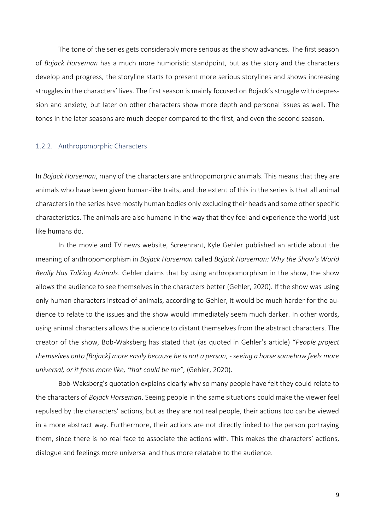The tone of the series gets considerably more serious as the show advances. The first season of *Bojack Horseman* has a much more humoristic standpoint, but as the story and the characters develop and progress, the storyline starts to present more serious storylines and shows increasing struggles in the characters' lives. The first season is mainly focused on Bojack's struggle with depression and anxiety, but later on other characters show more depth and personal issues as well. The tones in the later seasons are much deeper compared to the first, and even the second season.

#### <span id="page-8-0"></span>1.2.2. Anthropomorphic Characters

In *Bojack Horseman*, many of the characters are anthropomorphic animals. This means that they are animals who have been given human-like traits, and the extent of this in the series is that all animal characters in the series have mostly human bodies only excluding their heads and some other specific characteristics. The animals are also humane in the way that they feel and experience the world just like humans do.

In the movie and TV news website, Screenrant, Kyle Gehler published an article about the meaning of anthropomorphism in *Bojack Horseman* called *Bojack Horseman: Why the Show's World Really Has Talking Animals*. Gehler claims that by using anthropomorphism in the show, the show allows the audience to see themselves in the characters better (Gehler, 2020). If the show was using only human characters instead of animals, according to Gehler, it would be much harder for the audience to relate to the issues and the show would immediately seem much darker. In other words, using animal characters allows the audience to distant themselves from the abstract characters. The creator of the show, Bob-Waksberg has stated that (as quoted in Gehler's article) "*People project themselves onto [Bojack] more easily because he is not a person, -seeing a horse somehow feels more universal, or it feels more like, 'that could be me",* (Gehler, 2020).

Bob-Waksberg's quotation explains clearly why so many people have felt they could relate to the characters of *Bojack Horseman*. Seeing people in the same situations could make the viewer feel repulsed by the characters' actions, but as they are not real people, their actions too can be viewed in a more abstract way. Furthermore, their actions are not directly linked to the person portraying them, since there is no real face to associate the actions with. This makes the characters' actions, dialogue and feelings more universal and thus more relatable to the audience.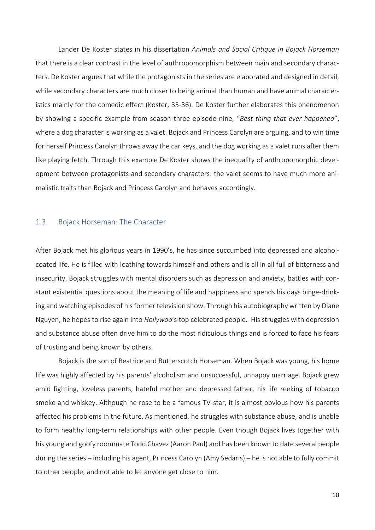Lander De Koster states in his dissertation *Animals and Social Critique in Bojack Horseman* that there is a clear contrast in the level of anthropomorphism between main and secondary characters. De Koster argues that while the protagonists in the series are elaborated and designed in detail, while secondary characters are much closer to being animal than human and have animal characteristics mainly for the comedic effect (Koster, 35-36). De Koster further elaborates this phenomenon by showing a specific example from season three episode nine, "*Best thing that ever happened*", where a dog character is working as a valet. Bojack and Princess Carolyn are arguing, and to win time for herself Princess Carolyn throws away the car keys, and the dog working as a valet runs after them like playing fetch. Through this example De Koster shows the inequality of anthropomorphic development between protagonists and secondary characters: the valet seems to have much more animalistic traits than Bojack and Princess Carolyn and behaves accordingly.

### <span id="page-9-0"></span>1.3. Bojack Horseman: The Character

After Bojack met his glorious years in 1990's, he has since succumbed into depressed and alcoholcoated life. He is filled with loathing towards himself and others and is all in all full of bitterness and insecurity. Bojack struggles with mental disorders such as depression and anxiety, battles with constant existential questions about the meaning of life and happiness and spends his days binge-drinking and watching episodes of his former television show. Through his autobiography written by Diane Nguyen, he hopes to rise again into *Hollywoo*'s top celebrated people. His struggles with depression and substance abuse often drive him to do the most ridiculous things and is forced to face his fears of trusting and being known by others.

Bojack is the son of Beatrice and Butterscotch Horseman. When Bojack was young, his home life was highly affected by his parents' alcoholism and unsuccessful, unhappy marriage. Bojack grew amid fighting, loveless parents, hateful mother and depressed father, his life reeking of tobacco smoke and whiskey. Although he rose to be a famous TV-star, it is almost obvious how his parents affected his problems in the future. As mentioned, he struggles with substance abuse, and is unable to form healthy long-term relationships with other people. Even though Bojack lives together with his young and goofy roommate Todd Chavez (Aaron Paul) and has been known to date several people during the series – including his agent, Princess Carolyn (Amy Sedaris) – he is not able to fully commit to other people, and not able to let anyone get close to him.

10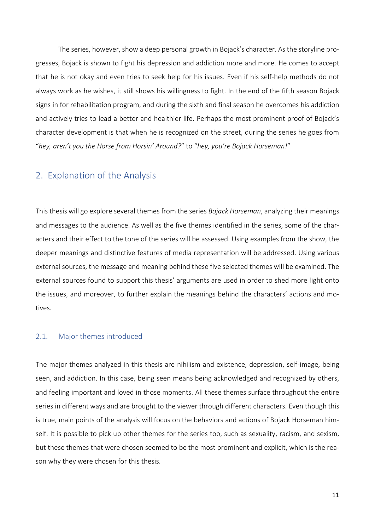The series, however, show a deep personal growth in Bojack's character. As the storyline progresses, Bojack is shown to fight his depression and addiction more and more. He comes to accept that he is not okay and even tries to seek help for his issues. Even if his self-help methods do not always work as he wishes, it still shows his willingness to fight. In the end of the fifth season Bojack signs in for rehabilitation program, and during the sixth and final season he overcomes his addiction and actively tries to lead a better and healthier life. Perhaps the most prominent proof of Bojack's character development is that when he is recognized on the street, during the series he goes from "*hey, aren't you the Horse from Horsin' Around?*" to "*hey, you're Bojack Horseman!*"

## <span id="page-10-0"></span>2. Explanation of the Analysis

This thesis will go explore several themes from the series *Bojack Horseman*, analyzing their meanings and messages to the audience. As well as the five themes identified in the series, some of the characters and their effect to the tone of the series will be assessed. Using examples from the show, the deeper meanings and distinctive features of media representation will be addressed. Using various external sources, the message and meaning behind these five selected themes will be examined. The external sources found to support this thesis' arguments are used in order to shed more light onto the issues, and moreover, to further explain the meanings behind the characters' actions and motives.

### <span id="page-10-1"></span>2.1. Major themes introduced

The major themes analyzed in this thesis are nihilism and existence, depression, self-image, being seen, and addiction. In this case, being seen means being acknowledged and recognized by others, and feeling important and loved in those moments. All these themes surface throughout the entire series in different ways and are brought to the viewer through different characters. Even though this is true, main points of the analysis will focus on the behaviors and actions of Bojack Horseman himself. It is possible to pick up other themes for the series too, such as sexuality, racism, and sexism, but these themes that were chosen seemed to be the most prominent and explicit, which is the reason why they were chosen for this thesis.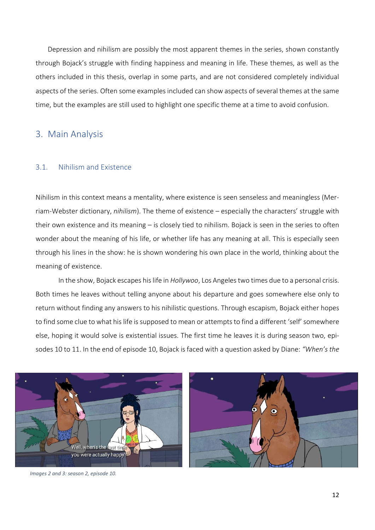Depression and nihilism are possibly the most apparent themes in the series, shown constantly through Bojack's struggle with finding happiness and meaning in life. These themes, as well as the others included in this thesis, overlap in some parts, and are not considered completely individual aspects of the series. Often some examples included can show aspects of several themes at the same time, but the examples are still used to highlight one specific theme at a time to avoid confusion.

### <span id="page-11-0"></span>3. Main Analysis

### <span id="page-11-1"></span>3.1. Nihilism and Existence

Nihilism in this context means a mentality, where existence is seen senseless and meaningless (Merriam-Webster dictionary, *nihilism*). The theme of existence – especially the characters' struggle with their own existence and its meaning – is closely tied to nihilism. Bojack is seen in the series to often wonder about the meaning of his life, or whether life has any meaning at all. This is especially seen through his lines in the show: he is shown wondering his own place in the world, thinking about the meaning of existence.

In the show, Bojack escapes his life in *Hollywoo*, Los Angeles two times due to a personal crisis. Both times he leaves without telling anyone about his departure and goes somewhere else only to return without finding any answers to his nihilistic questions. Through escapism, Bojack either hopes to find some clue to what his life is supposed to mean or attempts to find a different 'self' somewhere else, hoping it would solve is existential issues. The first time he leaves it is during season two, episodes 10 to 11. In the end of episode 10, Bojack is faced with a question asked by Diane: *"When's the* 



*Images 2 and 3: season 2, episode 10.*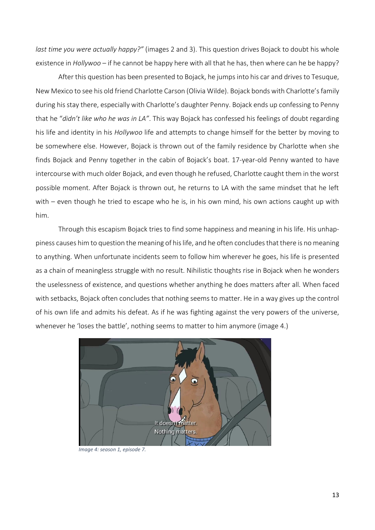*last time you were actually happy?"* (images 2 and 3). This question drives Bojack to doubt his whole existence in *Hollywoo* – if he cannot be happy here with all that he has, then where can he be happy?

After this question has been presented to Bojack, he jumps into his car and drives to Tesuque, New Mexico to see his old friend Charlotte Carson (Olivia Wilde). Bojack bonds with Charlotte's family during his stay there, especially with Charlotte's daughter Penny. Bojack ends up confessing to Penny that he "*didn't like who he was in LA"*. This way Bojack has confessed his feelings of doubt regarding his life and identity in his *Hollywoo* life and attempts to change himself for the better by moving to be somewhere else. However, Bojack is thrown out of the family residence by Charlotte when she finds Bojack and Penny together in the cabin of Bojack's boat. 17-year-old Penny wanted to have intercourse with much older Bojack, and even though he refused, Charlotte caught them in the worst possible moment. After Bojack is thrown out, he returns to LA with the same mindset that he left with – even though he tried to escape who he is, in his own mind, his own actions caught up with him.

Through this escapism Bojack tries to find some happiness and meaning in his life. His unhappiness causes him to question the meaning of his life, and he often concludesthat there is no meaning to anything. When unfortunate incidents seem to follow him wherever he goes, his life is presented as a chain of meaningless struggle with no result. Nihilistic thoughts rise in Bojack when he wonders the uselessness of existence, and questions whether anything he does matters after all. When faced with setbacks, Bojack often concludes that nothing seems to matter. He in a way gives up the control of his own life and admits his defeat. As if he was fighting against the very powers of the universe, whenever he 'loses the battle', nothing seems to matter to him anymore (image 4.)



*Image 4: season 1, episode 7.*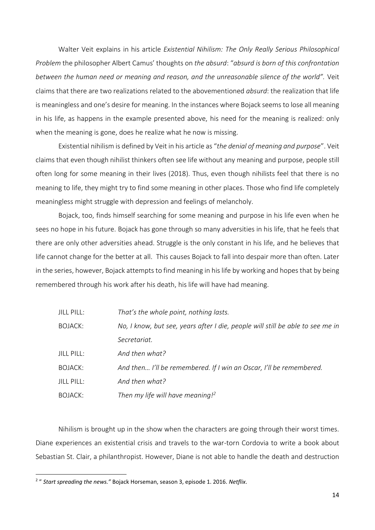Walter Veit explains in his article *Existential Nihilism: The Only Really Serious Philosophical Problem* the philosopher Albert Camus' thoughts on *the absurd*: "*absurd is born of this confrontation between the human need or meaning and reason, and the unreasonable silence of the world".* Veit claims that there are two realizations related to the abovementioned *absurd*: the realization that life is meaningless and one's desire for meaning. In the instances where Bojack seems to lose all meaning in his life, as happens in the example presented above, his need for the meaning is realized: only when the meaning is gone, does he realize what he now is missing.

Existential nihilism is defined by Veit in his article as "*the denial of meaning and purpose*". Veit claims that even though nihilist thinkers often see life without any meaning and purpose, people still often long for some meaning in their lives (2018). Thus, even though nihilists feel that there is no meaning to life, they might try to find some meaning in other places. Those who find life completely meaningless might struggle with depression and feelings of melancholy.

Bojack, too, finds himself searching for some meaning and purpose in his life even when he sees no hope in his future. Bojack has gone through so many adversities in his life, that he feels that there are only other adversities ahead. Struggle is the only constant in his life, and he believes that life cannot change for the better at all. This causes Bojack to fall into despair more than often. Later in the series, however, Bojack attempts to find meaning in his life by working and hopes that by being remembered through his work after his death, his life will have had meaning.

| JILL PILL:     | That's the whole point, nothing lasts.                                         |
|----------------|--------------------------------------------------------------------------------|
| <b>BOJACK:</b> | No, I know, but see, years after I die, people will still be able to see me in |
|                | Secretariat.                                                                   |
| JILL PILL:     | And then what?                                                                 |
| BOJACK:        | And then I'll be remembered. If I win an Oscar, I'll be remembered.            |
| JILL PILL:     | And then what?                                                                 |
| BOJACK:        | Then my life will have meaning! <sup>2</sup>                                   |

Nihilism is brought up in the show when the characters are going through their worst times. Diane experiences an existential crisis and travels to the war-torn Cordovia to write a book about Sebastian St. Clair, a philanthropist. However, Diane is not able to handle the death and destruction

<sup>2</sup> " *Start spreading the news."* Bojack Horseman, season 3, episode 1. 2016. *Netflix*.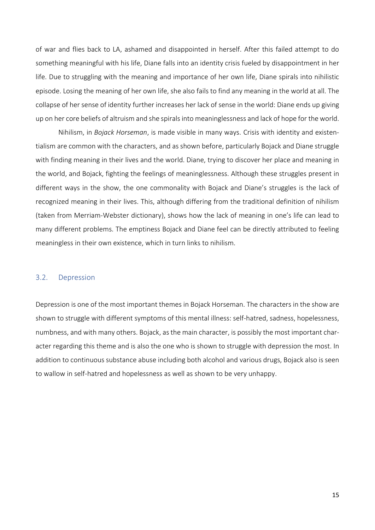of war and flies back to LA, ashamed and disappointed in herself. After this failed attempt to do something meaningful with his life, Diane falls into an identity crisis fueled by disappointment in her life. Due to struggling with the meaning and importance of her own life, Diane spirals into nihilistic episode. Losing the meaning of her own life, she also fails to find any meaning in the world at all. The collapse of her sense of identity further increases her lack of sense in the world: Diane ends up giving up on her core beliefs of altruism and she spirals into meaninglessness and lack of hope for the world.

Nihilism, in *Bojack Horseman*, is made visible in many ways. Crisis with identity and existentialism are common with the characters, and as shown before, particularly Bojack and Diane struggle with finding meaning in their lives and the world. Diane, trying to discover her place and meaning in the world, and Bojack, fighting the feelings of meaninglessness. Although these struggles present in different ways in the show, the one commonality with Bojack and Diane's struggles is the lack of recognized meaning in their lives. This, although differing from the traditional definition of nihilism (taken from Merriam-Webster dictionary), shows how the lack of meaning in one's life can lead to many different problems. The emptiness Bojack and Diane feel can be directly attributed to feeling meaningless in their own existence, which in turn links to nihilism.

### <span id="page-14-0"></span>3.2. Depression

Depression is one of the most important themes in Bojack Horseman. The characters in the show are shown to struggle with different symptoms of this mental illness: self-hatred, sadness, hopelessness, numbness, and with many others. Bojack, as the main character, is possibly the most important character regarding this theme and is also the one who is shown to struggle with depression the most. In addition to continuous substance abuse including both alcohol and various drugs, Bojack also is seen to wallow in self-hatred and hopelessness as well as shown to be very unhappy.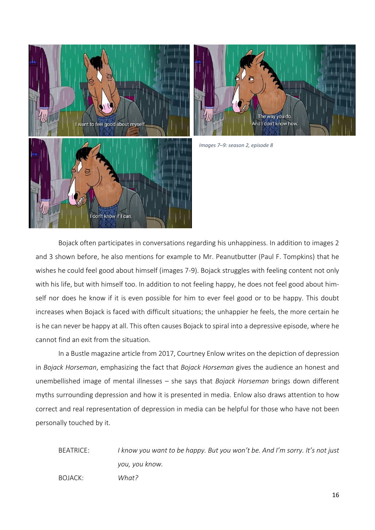



*Images 7–9: season 2, episode 8* 

Bojack often participates in conversations regarding his unhappiness. In addition to images 2 and 3 shown before, he also mentions for example to Mr. Peanutbutter (Paul F. Tompkins) that he wishes he could feel good about himself (images 7-9). Bojack struggles with feeling content not only with his life, but with himself too. In addition to not feeling happy, he does not feel good about himself nor does he know if it is even possible for him to ever feel good or to be happy. This doubt increases when Bojack is faced with difficult situations; the unhappier he feels, the more certain he is he can never be happy at all. This often causes Bojack to spiral into a depressive episode, where he cannot find an exit from the situation.

In a Bustle magazine article from 2017, Courtney Enlow writes on the depiction of depression in *Bojack Horseman*, emphasizing the fact that *Bojack Horseman* gives the audience an honest and unembellished image of mental illnesses – she says that *Bojack Horseman* brings down different myths surrounding depression and how it is presented in media. Enlow also draws attention to how correct and real representation of depression in media can be helpful for those who have not been personally touched by it.

BEATRICE: *I know you want to be happy. But you won't be. And I'm sorry. It's not just you, you know.*  BOJACK: *What?*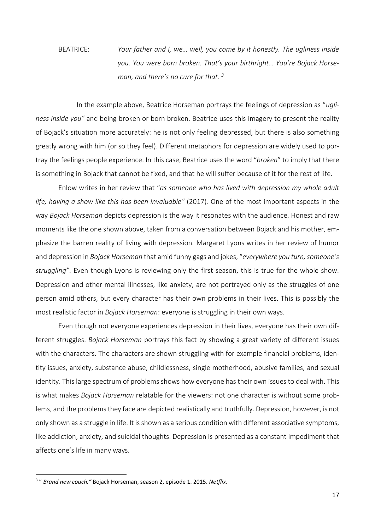BEATRICE: *Your father and I, we… well, you come by it honestly. The ugliness inside you. You were born broken. That's your birthright… You're Bojack Horseman, and there's no cure for that. <sup>3</sup>*

In the example above, Beatrice Horseman portrays the feelings of depression as "*ugliness inside you"* and being broken or born broken. Beatrice uses this imagery to present the reality of Bojack's situation more accurately: he is not only feeling depressed, but there is also something greatly wrong with him (or so they feel). Different metaphors for depression are widely used to portray the feelings people experience. In this case, Beatrice uses the word "*broken*" to imply that there is something in Bojack that cannot be fixed, and that he will suffer because of it for the rest of life.

Enlow writes in her review that "*as someone who has lived with depression my whole adult life, having a show like this has been invaluable"* (2017)*.* One of the most important aspects in the way *Bojack Horseman* depicts depression is the way it resonates with the audience. Honest and raw moments like the one shown above, taken from a conversation between Bojack and his mother, emphasize the barren reality of living with depression. Margaret Lyons writes in her review of humor and depression in *Bojack Horseman* that amid funny gags and jokes, "*everywhere you turn, someone's struggling"*. Even though Lyons is reviewing only the first season, this is true for the whole show. Depression and other mental illnesses, like anxiety, are not portrayed only as the struggles of one person amid others, but every character has their own problems in their lives. This is possibly the most realistic factor in *Bojack Horseman*: everyone is struggling in their own ways.

Even though not everyone experiences depression in their lives, everyone has their own different struggles. *Bojack Horseman* portrays this fact by showing a great variety of different issues with the characters. The characters are shown struggling with for example financial problems, identity issues, anxiety, substance abuse, childlessness, single motherhood, abusive families, and sexual identity. This large spectrum of problems shows how everyone has their own issues to deal with. This is what makes *Bojack Horseman* relatable for the viewers: not one character is without some problems, and the problems they face are depicted realistically and truthfully. Depression, however, is not only shown as a struggle in life. It is shown as a serious condition with different associative symptoms, like addiction, anxiety, and suicidal thoughts. Depression is presented as a constant impediment that affects one's life in many ways.

<sup>3</sup> " *Brand new couch."* Bojack Horseman, season 2, episode 1. 2015. *Netflix.*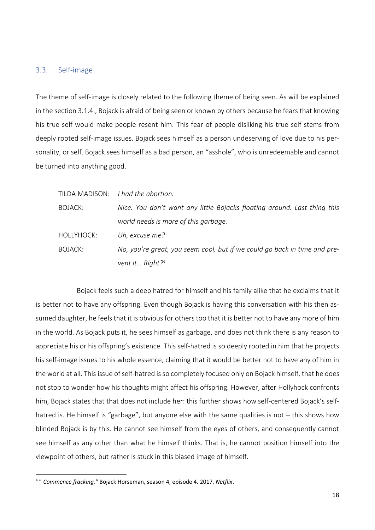### <span id="page-17-0"></span>3.3. Self-image

The theme of self-image is closely related to the following theme of being seen. As will be explained in the section 3.1.4., Bojack is afraid of being seen or known by others because he fears that knowing his true self would make people resent him. This fear of people disliking his true self stems from deeply rooted self-image issues. Bojack sees himself as a person undeserving of love due to his personality, or self. Bojack sees himself as a bad person, an "asshole", who is unredeemable and cannot be turned into anything good.

|                | TILDA MADISON: I had the abortion.                                        |
|----------------|---------------------------------------------------------------------------|
| <b>BOJACK:</b> | Nice. You don't want any little Bojacks floating around. Last thing this  |
|                | world needs is more of this garbage.                                      |
| HOLLYHOCK:     | Uh, excuse me?                                                            |
| BOJACK:        | No, you're great, you seem cool, but if we could go back in time and pre- |
|                | vent it Right? <sup>4</sup>                                               |

Bojack feels such a deep hatred for himself and his family alike that he exclaims that it is better not to have any offspring. Even though Bojack is having this conversation with his then assumed daughter, he feels that it is obvious for others too that it is better not to have any more of him in the world. As Bojack puts it, he sees himself as garbage, and does not think there is any reason to appreciate his or his offspring's existence. This self-hatred is so deeply rooted in him that he projects his self-image issues to his whole essence, claiming that it would be better not to have any of him in the world at all. This issue of self-hatred is so completely focused only on Bojack himself, that he does not stop to wonder how his thoughts might affect his offspring. However, after Hollyhock confronts him, Bojack states that that does not include her: this further shows how self-centered Bojack's selfhatred is. He himself is "garbage", but anyone else with the same qualities is not – this shows how blinded Bojack is by this. He cannot see himself from the eyes of others, and consequently cannot see himself as any other than what he himself thinks. That is, he cannot position himself into the viewpoint of others, but rather is stuck in this biased image of himself.

<sup>4</sup> " *Commence fracking."* Bojack Horseman, season 4, episode 4. 2017. *Netflix*.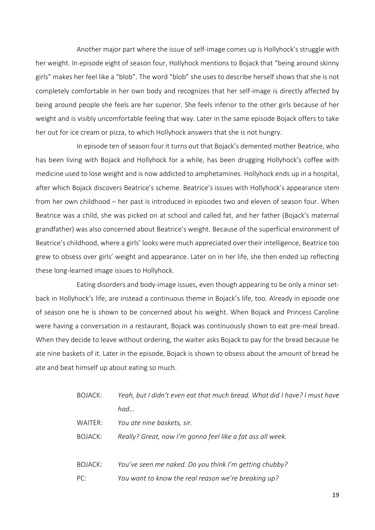Another major part where the issue of self-image comes up is Hollyhock's struggle with her weight. In episode eight of season four, Hollyhock mentions to Bojack that "being around skinny girls" makes her feel like a "blob". The word "blob" she uses to describe herself shows that she is not completely comfortable in her own body and recognizes that her self-image is directly affected by being around people she feels are her superior. She feels inferior to the other girls because of her weight and is visibly uncomfortable feeling that way. Later in the same episode Bojack offers to take her out for ice cream or pizza, to which Hollyhock answers that she is not hungry.

In episode ten of season four it turns out that Bojack's demented mother Beatrice, who has been living with Bojack and Hollyhock for a while, has been drugging Hollyhock's coffee with medicine used to lose weight and is now addicted to amphetamines. Hollyhock ends up in a hospital, after which Bojack discovers Beatrice's scheme. Beatrice's issues with Hollyhock's appearance stem from her own childhood – her past is introduced in episodes two and eleven of season four. When Beatrice was a child, she was picked on at school and called fat, and her father (Bojack's maternal grandfather) was also concerned about Beatrice's weight. Because of the superficial environment of Beatrice's childhood, where a girls' looks were much appreciated over their intelligence, Beatrice too grew to obsess over girls' weight and appearance. Later on in her life, she then ended up reflecting these long-learned image issues to Hollyhock.

Eating disorders and body-image issues, even though appearing to be only a minor setback in Hollyhock's life, are instead a continuous theme in Bojack's life, too. Already in episode one of season one he is shown to be concerned about his weight. When Bojack and Princess Caroline were having a conversation in a restaurant, Bojack was continuously shown to eat pre-meal bread. When they decide to leave without ordering, the waiter asks Bojack to pay for the bread because he ate nine baskets of it. Later in the episode, Bojack is shown to obsess about the amount of bread he ate and beat himself up about eating so much.

| BOJACK: | Yeah, but I didn't even eat that much bread. What did I have? I must have |
|---------|---------------------------------------------------------------------------|
|         | had                                                                       |
| WAITER: | You ate nine baskets, sir.                                                |
| BOJACK: | Really? Great, now I'm gonna feel like a fat ass all week.                |
| BOJACK: | You've seen me naked. Do you think I'm getting chubby?                    |
| PC:     | You want to know the real reason we're breaking up?                       |

19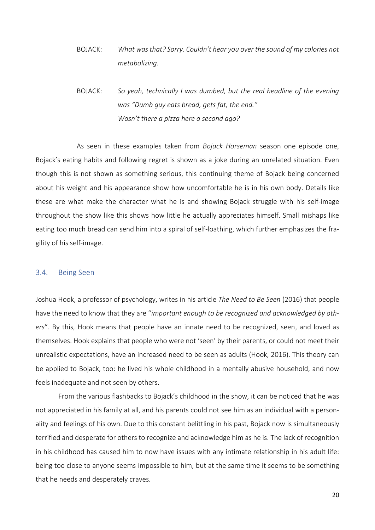BOJACK: *What was that? Sorry. Couldn't hear you over the sound of my calories not metabolizing.*

BOJACK: *So yeah, technically I was dumbed, but the real headline of the evening was "Dumb guy eats bread, gets fat, the end." Wasn't there a pizza here a second ago?* 

As seen in these examples taken from *Bojack Horseman* season one episode one, Bojack's eating habits and following regret is shown as a joke during an unrelated situation. Even though this is not shown as something serious, this continuing theme of Bojack being concerned about his weight and his appearance show how uncomfortable he is in his own body. Details like these are what make the character what he is and showing Bojack struggle with his self-image throughout the show like this shows how little he actually appreciates himself. Small mishaps like eating too much bread can send him into a spiral of self-loathing, which further emphasizes the fragility of his self-image.

### <span id="page-19-0"></span>3.4. Being Seen

Joshua Hook, a professor of psychology, writes in his article *The Need to Be Seen* (2016) that people have the need to know that they are "*important enough to be recognized and acknowledged by others*". By this, Hook means that people have an innate need to be recognized, seen, and loved as themselves. Hook explains that people who were not 'seen' by their parents, or could not meet their unrealistic expectations, have an increased need to be seen as adults (Hook, 2016). This theory can be applied to Bojack, too: he lived his whole childhood in a mentally abusive household, and now feels inadequate and not seen by others.

From the various flashbacks to Bojack's childhood in the show, it can be noticed that he was not appreciated in his family at all, and his parents could not see him as an individual with a personality and feelings of his own. Due to this constant belittling in his past, Bojack now is simultaneously terrified and desperate for others to recognize and acknowledge him as he is. The lack of recognition in his childhood has caused him to now have issues with any intimate relationship in his adult life: being too close to anyone seems impossible to him, but at the same time it seems to be something that he needs and desperately craves.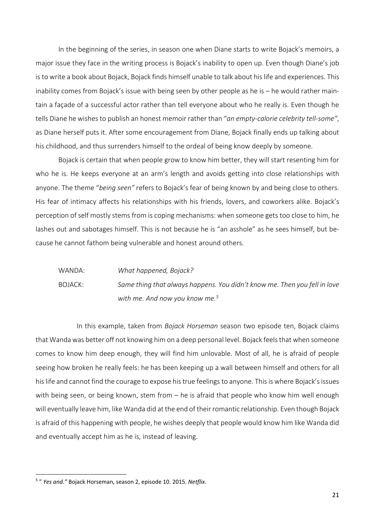In the beginning of the series, in season one when Diane starts to write Bojack's memoirs, a major issue they face in the writing process is Bojack's inability to open up. Even though Diane's job is to write a book about Bojack, Bojack finds himself unable to talk about his life and experiences. This inability comes from Bojack's issue with being seen by other people as he is – he would rather maintain a façade of a successful actor rather than tell everyone about who he really is. Even though he tells Diane he wishes to publish an honest memoir rather than "*an empty-calorie celebrity tell-some"*, as Diane herself puts it. After some encouragement from Diane, Bojack finally ends up talking about his childhood, and thus surrenders himself to the ordeal of being know deeply by someone.

Bojack is certain that when people grow to know him better, they will start resenting him for who he is. He keeps everyone at an arm's length and avoids getting into close relationships with anyone. The theme "*being seen"* refers to Bojack's fear of being known by and being close to others. His fear of intimacy affects his relationships with his friends, lovers, and coworkers alike. Bojack's perception of self mostly stems from is coping mechanisms: when someone gets too close to him, he lashes out and sabotages himself. This is not because he is "an asshole" as he sees himself, but because he cannot fathom being vulnerable and honest around others.

# WANDA: *What happened, Bojack?*  BOJACK: *Same thing that always happens. You didn't know me. Then you fell in love with me. And now you know me.<sup>5</sup>*

In this example, taken from *Bojack Horseman* season two episode ten, Bojack claims that Wanda was better off not knowing him on a deep personal level. Bojack feels that when someone comes to know him deep enough, they will find him unlovable. Most of all, he is afraid of people seeing how broken he really feels: he has been keeping up a wall between himself and others for all his life and cannot find the courage to expose his true feelings to anyone. This is where Bojack's issues with being seen, or being known, stem from – he is afraid that people who know him well enough will eventually leave him, like Wanda did at the end of their romantic relationship. Even though Bojack is afraid of this happening with people, he wishes deeply that people would know him like Wanda did and eventually accept him as he is, instead of leaving.

<sup>5</sup> " *Yes and."* Bojack Horseman, season 2, episode 10. 2015. *Netflix*.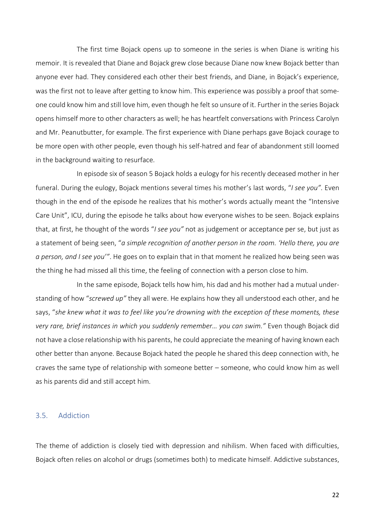The first time Bojack opens up to someone in the series is when Diane is writing his memoir. It is revealed that Diane and Bojack grew close because Diane now knew Bojack better than anyone ever had. They considered each other their best friends, and Diane, in Bojack's experience, was the first not to leave after getting to know him. This experience was possibly a proof that someone could know him and still love him, even though he felt so unsure of it. Further in the series Bojack opens himself more to other characters as well; he has heartfelt conversations with Princess Carolyn and Mr. Peanutbutter, for example. The first experience with Diane perhaps gave Bojack courage to be more open with other people, even though his self-hatred and fear of abandonment still loomed in the background waiting to resurface.

In episode six of season 5 Bojack holds a eulogy for his recently deceased mother in her funeral. During the eulogy, Bojack mentions several times his mother's last words, "*I see you"*. Even though in the end of the episode he realizes that his mother's words actually meant the "Intensive Care Unit", ICU, during the episode he talks about how everyone wishes to be seen. Bojack explains that, at first, he thought of the words "*I see you"* not as judgement or acceptance per se, but just as a statement of being seen, "*a simple recognition of another person in the room. 'Hello there, you are a person, and I see you'"*. He goes on to explain that in that moment he realized how being seen was the thing he had missed all this time, the feeling of connection with a person close to him.

In the same episode, Bojack tells how him, his dad and his mother had a mutual understanding of how "*screwed up"* they all were. He explains how they all understood each other, and he says, "*she knew what it was to feel like you're drowning with the exception of these moments, these very rare, brief instances in which you suddenly remember… you can swim."* Even though Bojack did not have a close relationship with his parents, he could appreciate the meaning of having known each other better than anyone. Because Bojack hated the people he shared this deep connection with, he craves the same type of relationship with someone better – someone, who could know him as well as his parents did and still accept him.

### <span id="page-21-0"></span>3.5. Addiction

The theme of addiction is closely tied with depression and nihilism. When faced with difficulties, Bojack often relies on alcohol or drugs (sometimes both) to medicate himself. Addictive substances,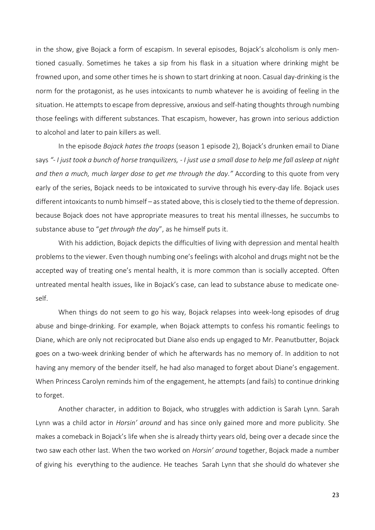in the show, give Bojack a form of escapism. In several episodes, Bojack's alcoholism is only mentioned casually. Sometimes he takes a sip from his flask in a situation where drinking might be frowned upon, and some other times he is shown to start drinking at noon. Casual day-drinking is the norm for the protagonist, as he uses intoxicants to numb whatever he is avoiding of feeling in the situation. He attempts to escape from depressive, anxious and self-hating thoughts through numbing those feelings with different substances. That escapism, however, has grown into serious addiction to alcohol and later to pain killers as well.

In the episode *Bojack hates the troops* (season 1 episode 2), Bojack's drunken email to Diane says *"- I just took a bunch of horse tranquilizers, - I just use a small dose to help me fall asleep at night and then a much, much larger dose to get me through the day."* According to this quote from very early of the series, Bojack needs to be intoxicated to survive through his every-day life. Bojack uses different intoxicants to numb himself – as stated above, this is closely tied to the theme of depression. because Bojack does not have appropriate measures to treat his mental illnesses, he succumbs to substance abuse to "*get through the day*", as he himself puts it.

With his addiction, Bojack depicts the difficulties of living with depression and mental health problems to the viewer. Even though numbing one's feelings with alcohol and drugs might not be the accepted way of treating one's mental health, it is more common than is socially accepted. Often untreated mental health issues, like in Bojack's case, can lead to substance abuse to medicate oneself.

When things do not seem to go his way, Bojack relapses into week-long episodes of drug abuse and binge-drinking. For example, when Bojack attempts to confess his romantic feelings to Diane, which are only not reciprocated but Diane also ends up engaged to Mr. Peanutbutter, Bojack goes on a two-week drinking bender of which he afterwards has no memory of. In addition to not having any memory of the bender itself, he had also managed to forget about Diane's engagement. When Princess Carolyn reminds him of the engagement, he attempts (and fails) to continue drinking to forget.

Another character, in addition to Bojack, who struggles with addiction is Sarah Lynn. Sarah Lynn was a child actor in *Horsin' around* and has since only gained more and more publicity. She makes a comeback in Bojack's life when she is already thirty years old, being over a decade since the two saw each other last. When the two worked on *Horsin' around* together, Bojack made a number of giving his everything to the audience. He teaches Sarah Lynn that she should do whatever she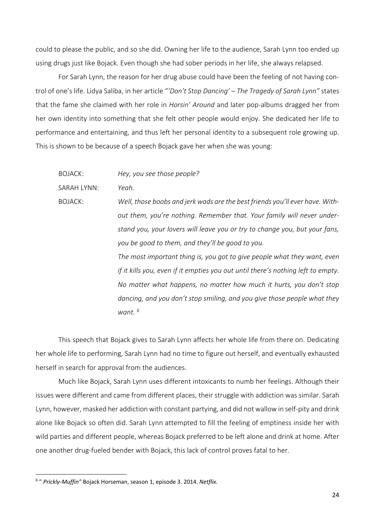could to please the public, and so she did. Owning her life to the audience, Sarah Lynn too ended up using drugs just like Bojack. Even though she had sober periods in her life, she always relapsed.

For Sarah Lynn, the reason for her drug abuse could have been the feeling of not having control of one's life. Lidya Saliba, in her article "*'Don't Stop Dancing' – The Tragedy of Sarah Lynn"* states that the fame she claimed with her role in *Horsin' Around* and later pop-albums dragged her from her own identity into something that she felt other people would enjoy. She dedicated her life to performance and entertaining, and thus left her personal identity to a subsequent role growing up. This is shown to be because of a speech Bojack gave her when she was young:

BOJACK: *Hey, you see those people?*

SARAH LYNN: *Yeah.*

BOJACK: *Well, those boobs and jerk wads are the best friends you'll ever have. Without them, you're nothing. Remember that. Your family will never understand you, your lovers will leave you or try to change you, but your fans, you be good to them, and they'll be good to you.*

> *The most important thing is, you got to give people what they want, even if it kills you, even if it empties you out until there's nothing left to empty. No matter what happens, no matter how much it hurts, you don't stop dancing, and you don't stop smiling, and you give those people what they want. <sup>6</sup>*

This speech that Bojack gives to Sarah Lynn affects her whole life from there on. Dedicating her whole life to performing, Sarah Lynn had no time to figure out herself, and eventually exhausted herself in search for approval from the audiences.

Much like Bojack, Sarah Lynn uses different intoxicants to numb her feelings. Although their issues were different and came from different places, their struggle with addiction was similar. Sarah Lynn, however, masked her addiction with constant partying, and did not wallow in self-pity and drink alone like Bojack so often did. Sarah Lynn attempted to fill the feeling of emptiness inside her with wild parties and different people, whereas Bojack preferred to be left alone and drink at home. After one another drug-fueled bender with Bojack, this lack of control proves fatal to her.

<sup>6</sup> " *Prickly-Muffin"* Bojack Horseman, season 1, episode 3. 2014. *Netflix.*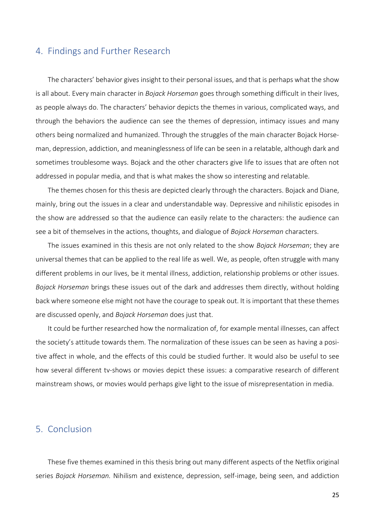# <span id="page-24-0"></span>4. Findings and Further Research

The characters' behavior gives insight to their personal issues, and that is perhaps what the show is all about. Every main character in *Bojack Horseman* goes through something difficult in their lives, as people always do. The characters' behavior depicts the themes in various, complicated ways, and through the behaviors the audience can see the themes of depression, intimacy issues and many others being normalized and humanized. Through the struggles of the main character Bojack Horseman, depression, addiction, and meaninglessness of life can be seen in a relatable, although dark and sometimes troublesome ways. Bojack and the other characters give life to issues that are often not addressed in popular media, and that is what makes the show so interesting and relatable.

The themes chosen for this thesis are depicted clearly through the characters. Bojack and Diane, mainly, bring out the issues in a clear and understandable way. Depressive and nihilistic episodes in the show are addressed so that the audience can easily relate to the characters: the audience can see a bit of themselves in the actions, thoughts, and dialogue of *Bojack Horseman* characters.

The issues examined in this thesis are not only related to the show *Bojack Horseman*; they are universal themes that can be applied to the real life as well. We, as people, often struggle with many different problems in our lives, be it mental illness, addiction, relationship problems or other issues. *Bojack Horseman* brings these issues out of the dark and addresses them directly, without holding back where someone else might not have the courage to speak out. It is important that these themes are discussed openly, and *Bojack Horseman* does just that.

It could be further researched how the normalization of, for example mental illnesses, can affect the society's attitude towards them. The normalization of these issues can be seen as having a positive affect in whole, and the effects of this could be studied further. It would also be useful to see how several different tv-shows or movies depict these issues: a comparative research of different mainstream shows, or movies would perhaps give light to the issue of misrepresentation in media.

### <span id="page-24-1"></span>5. Conclusion

These five themes examined in this thesis bring out many different aspects of the Netflix original series *Bojack Horseman.* Nihilism and existence, depression, self-image, being seen, and addiction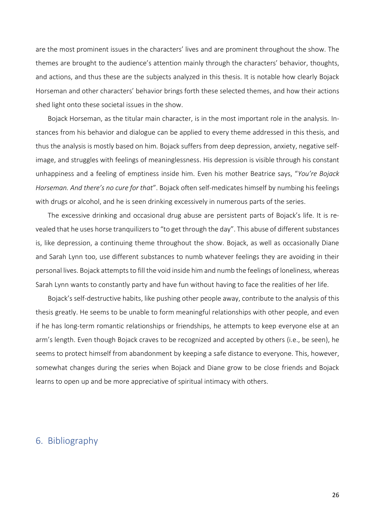are the most prominent issues in the characters' lives and are prominent throughout the show. The themes are brought to the audience's attention mainly through the characters' behavior, thoughts, and actions, and thus these are the subjects analyzed in this thesis. It is notable how clearly Bojack Horseman and other characters' behavior brings forth these selected themes, and how their actions shed light onto these societal issues in the show.

Bojack Horseman, as the titular main character, is in the most important role in the analysis. Instances from his behavior and dialogue can be applied to every theme addressed in this thesis, and thus the analysis is mostly based on him. Bojack suffers from deep depression, anxiety, negative selfimage, and struggles with feelings of meaninglessness. His depression is visible through his constant unhappiness and a feeling of emptiness inside him. Even his mother Beatrice says, "*You're Bojack Horseman. And there's no cure for that*". Bojack often self-medicates himself by numbing his feelings with drugs or alcohol, and he is seen drinking excessively in numerous parts of the series.

The excessive drinking and occasional drug abuse are persistent parts of Bojack's life. It is revealed that he uses horse tranquilizers to "to get through the day". This abuse of different substances is, like depression, a continuing theme throughout the show. Bojack, as well as occasionally Diane and Sarah Lynn too, use different substances to numb whatever feelings they are avoiding in their personal lives. Bojack attempts to fill the void inside him and numb the feelings of loneliness, whereas Sarah Lynn wants to constantly party and have fun without having to face the realities of her life.

Bojack's self-destructive habits, like pushing other people away, contribute to the analysis of this thesis greatly. He seems to be unable to form meaningful relationships with other people, and even if he has long-term romantic relationships or friendships, he attempts to keep everyone else at an arm's length. Even though Bojack craves to be recognized and accepted by others (i.e., be seen), he seems to protect himself from abandonment by keeping a safe distance to everyone. This, however, somewhat changes during the series when Bojack and Diane grow to be close friends and Bojack learns to open up and be more appreciative of spiritual intimacy with others.

# <span id="page-25-0"></span>6. Bibliography